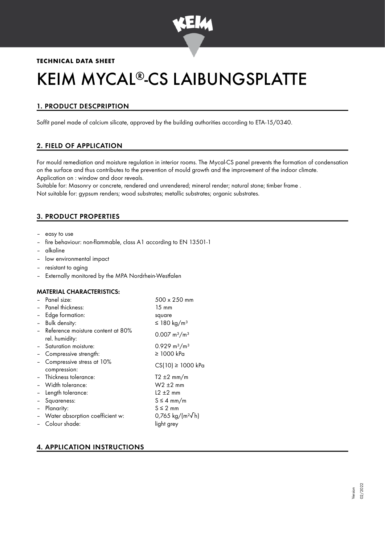

## **TECHNICAL DATA SHEET**

# KEIM MYCAL®-CS LAIBUNGSPLATTE

# 1. PRODUCT DESCPRIPTION

Soffit panel made of calcium silicate, approved by the building authorities according to ETA-15/0340.

## 2. FIELD OF APPLICATION

For mould remediation and moisture regulation in interior rooms. The Mycal-CS panel prevents the formation of condensation on the surface and thus contributes to the prevention of mould growth and the improvement of the indoor climate. Application on : window and door reveals.

Suitable for: Masonry or concrete, rendered and unrendered; mineral render; natural stone; timber frame . Not suitable for: gypsum renders; wood substrates; metallic substrates; organic substrates.

## 3. PRODUCT PROPERTIES

- easy to use
- fire behaviour: non-flammable, class A1 according to EN 13501-1
- alkaline
- low environmental impact
- resistant to aging
- Externally monitored by the MPA Nordrhein-Westfalen

#### MATERIAL CHARACTERISTICS:

|                | - Panel size:                                         | 500 x 250 mm                   |
|----------------|-------------------------------------------------------|--------------------------------|
|                | Panel thickness:                                      | $15 \text{ mm}$                |
| $\blacksquare$ | Edge formation:                                       | square                         |
|                | - Bulk density:                                       | ≤ 180 kg/m <sup>3</sup>        |
|                | - Reference moisture content at 80%<br>rel. humidity: | $0.007 \text{ m}^3/\text{m}^3$ |
|                | Saturation moisture:                                  | $0.929 \text{ m}^3/\text{m}^3$ |
|                | Compressive strength:                                 | $\geq$ 1000 kPa                |
|                | Compressive stress at 10%<br>compression:             | $CS(10) \ge 1000$ kPa          |
|                | - Thickness tolerance:                                | $T2 \pm 2$ mm/m                |
|                | - Width tolerance:                                    | $W2 \pm 2$ mm                  |
|                | - Length tolerance:                                   | $12 \pm 2$ mm                  |
| $\equiv$       | Squareness:                                           | $S \leq 4$ mm/m                |
| $\blacksquare$ | Planarity:                                            | $S \leq 2$ mm                  |
|                | - Water absorption coefficient w:                     | 0,765 kg/(m <sup>2</sup> √h)   |
|                | - Colour shade:                                       | light grey                     |
|                |                                                       |                                |

## 4. APPLICATION INSTRUCTIONS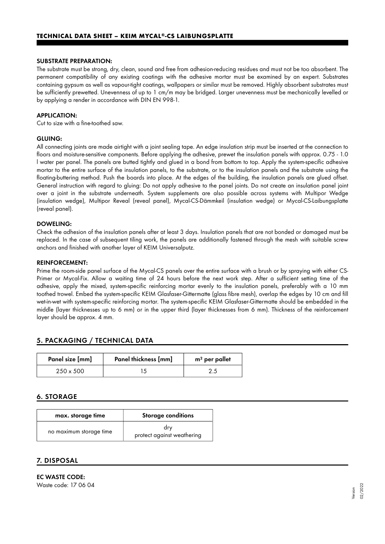#### SUBSTRATE PREPARATION:

The substrate must be strong, dry, clean, sound and free from adhesion-reducing residues and must not be too absorbent. The permanent compatibility of any existing coatings with the adhesive mortar must be examined by an expert. Substrates containing gypsum as well as vapour-tight coatings, wallpapers or similar must be removed. Highly absorbent substrates must be sufficiently prewetted. Unevenness of up to 1 cm/m may be bridged. Larger unevenness must be mechanically levelled or by applying a render in accordance with DIN EN 998-1.

#### APPLICATION:

Cut to size with a fine-toothed saw.

#### GLUING:

All connecting joints are made airtight with a joint sealing tape. An edge insulation strip must be inserted at the connection to floors and moisture-sensitive components. Before applying the adhesive, prewet the insulation panels with approx. 0.75 - 1.0 l water per panel. The panels are butted tightly and glued in a bond from bottom to top. Apply the system-specific adhesive mortar to the entire surface of the insulation panels, to the substrate, or to the insulation panels and the substrate using the floating-buttering method. Push the boards into place. At the edges of the building, the insulation panels are glued offset. General instruction with regard to gluing: Do not apply adhesive to the panel joints. Do not create an insulation panel joint over a joint in the substrate underneath. System supplements are also possible across systems with Multipor Wedge (insulation wedge), Multipor Reveal (reveal panel), Mycal-CS-Dämmkeil (insulation wedge) or Mycal-CS-Laibungsplatte (reveal panel).

## DOWELING:

Check the adhesion of the insulation panels after at least 3 days. Insulation panels that are not bonded or damaged must be replaced. In the case of subsequent tiling work, the panels are additionally fastened through the mesh with suitable screw anchors and finished with another layer of KEIM Universalputz.

#### REINFORCEMENT:

Prime the room-side panel surface of the Mycal-CS panels over the entire surface with a brush or by spraying with either CS-Primer or Mycal-Fix. Allow a waiting time of 24 hours before the next work step. After a sufficient setting time of the adhesive, apply the mixed, system-specific reinforcing mortar evenly to the insulation panels, preferably with a 10 mm toothed trowel. Embed the system-specific KEIM Glasfaser-Gittermatte (glass fibre mesh), overlap the edges by 10 cm and fill wet-in-wet with system-specific reinforcing mortar. The system-specific KEIM Glasfaser-Gittermatte should be embedded in the middle (layer thicknesses up to 6 mm) or in the upper third (layer thicknesses from 6 mm). Thickness of the reinforcement layer should be approx. 4 mm.

## 5. PACKAGING / TECHNICAL DATA

| Panel size [mm]  | Panel thickness [mm] | $m2$ per pallet |
|------------------|----------------------|-----------------|
| $250 \times 500$ |                      |                 |

### 6. STORAGE

| max. storage time       | <b>Storage conditions</b>         |
|-------------------------|-----------------------------------|
| no maximum storage time | drv<br>protect against weathering |

## 7. DISPOSAL

EC WASTE CODE: Waste code: 17 06 04